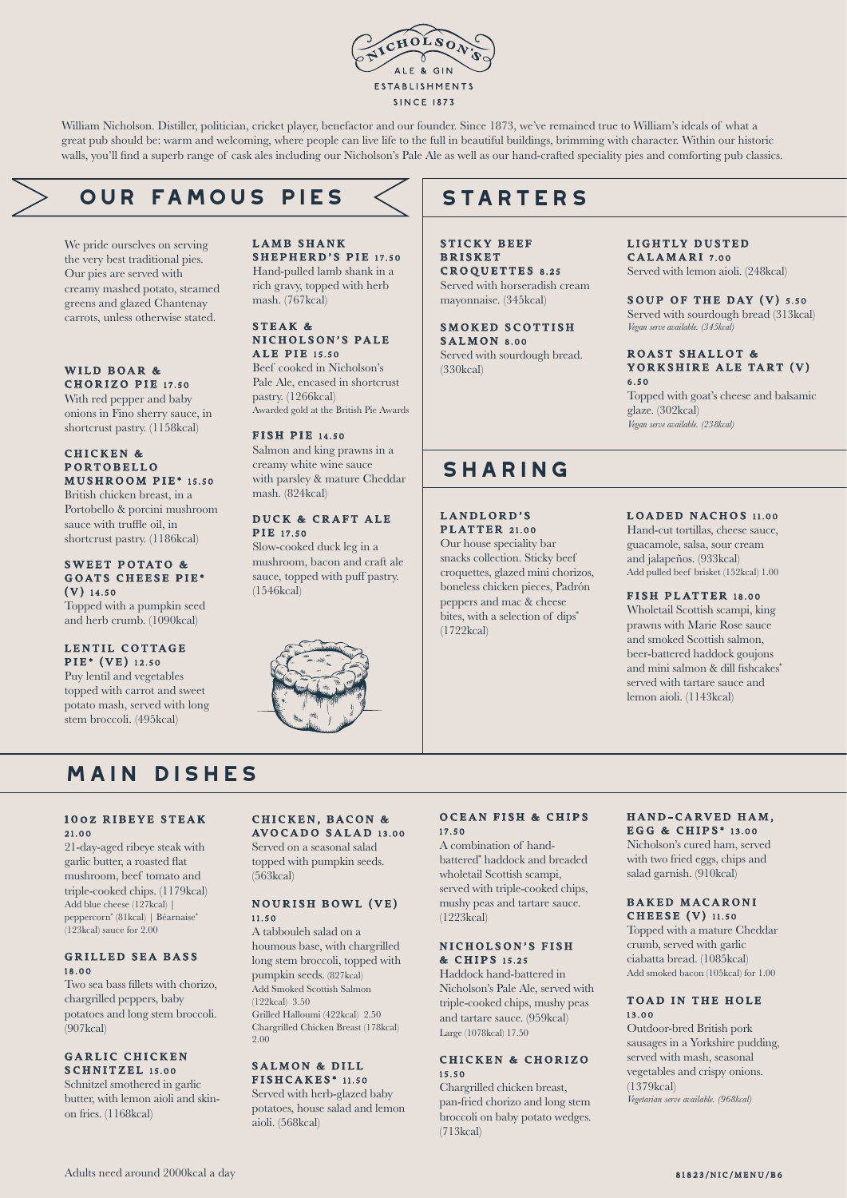

William Nicholson. Distiller, politician, cricket player, benefactor and our founder. Since 1873, we've remained true to William's ideals of what a great pub should be: warm and welcoming, where people can live life to the full in beautiful buildings, brimming with character. Within our historic walls, you'll find a superb range of cask ales including our Nicholson's Pale Ale as well as our hand-crafted speciality pies and comforting pub classics.

# **our famous PIES**

We pride ourselves on serving the very best traditional pies. Our pies are served with creamy mashed potato, steamed greens and glazed Chantenay carrots, unless otherwise stated.

#### WILD BOAR & CHORIZO PIE 17.50

With red pepper and baby onions in Fino sherry sauce, in shortcrust pastry. (1158kcal)

## CHICKEN & P ORTOBELLO MUSHROOM PIE\* 15.50

British chicken breast, in a Portobello & porcini mushroom sauce with truffle oil, in shortcrust pastry. (1186kcal)

#### SWEET POTATO & GOATS CHEESE PIE\*  $(V)$  14.50

Topped with a pumpkin seed and herb crumb. (1090kcal)

## LENTIL COTTAGE PIE\* (VE) 12.50

Puy lentil and vegetables topped with carrot and sweet potato mash, served with long stem broccoli. (495kcal)

#### LAMB SHANK SHEPHERD'S PIE 17.50 Hand-pulled lamb shank in a rich gravy, topped with herb

mash. (767kcal)

#### STEAK & NICHOLSON'S PALE **ALE PIE** 15.50

Beef cooked in Nicholson's Pale Ale, encased in shortcrust pastry. (1266kcal) Awarded gold at the British Pie Awards

## FISH PIE 14.50

Salmon and king prawns in a creamy white wine sauce with parsley & mature Cheddar mash. (824kcal)

## DUCK & CRAFT ALE **PIR** 17.50

Slow-cooked duck leg in a mushroom, bacon and craft ale sauce, topped with puff pastry. (1546kcal)



# **STARTERS**

STICKY BEEF **BRISKET** CROQUETTES 8.25 Served with horseradish cream mayonnaise. (345kcal)

SMOKED SCOTTISH  $S$  A L M O N  $8.00$ Served with sourdough bread. (330kcal)

## LIGHTLY DUSTED

CALAMARI 7.00 Served with lemon aioli. (248kcal)

#### SOUP OF THE DAY (V) 5.50 Served with sourdough bread (313kcal) *Vegan serve available. (345kcal)*

#### ROAST SHALLOT & YORKSHIRE ALE TART (V) 6.50

Topped with goat's cheese and balsamic glaze. (302kcal) *Vegan serve available. (238kcal)*

# **sharing**

LANDLORD'S **PLATTER** 21.00

Our house speciality bar snacks collection. Sticky beef croquettes, glazed mini chorizos, boneless chicken pieces, Padrón peppers and mac & cheese bites, with a selection of dips<sup>\*</sup> (1722kcal)

## LOADED NACHOS 11.00

Hand-cut tortillas, cheese sauce, guacamole, salsa, sour cream and jalapeños. (933kcal) Add pulled beef brisket (152kcal) 1.00

## FISH PLATTER 18.00

Wholetail Scottish scampi, king prawns with Marie Rose sauce and smoked Scottish salmon, beer-battered haddock goujons and mini salmon & dill fishcakes\* served with tartare sauce and lemon aioli. (1143kcal)

# **main dishes**

#### 100Z RIBEYE STEAK 21.00

21-day-aged ribeye steak with garlic butter, a roasted flat mushroom, beef tomato and triple-cooked chips. (1179kcal) Add blue cheese (127kcal) | peppercorn\* (81kcal) | Béarnaise\* (123kcal) sauce for 2.00

### **GRILLED SEA BASS** 18.00

Two sea bass fillets with chorizo, chargrilled peppers, baby potatoes and long stem broccoli.  $(907$ kcal)

## GARLIC CHICKEN SCHNITZEL 15.00

Schnitzel smothered in garlic butter, with lemon aioli and skinon fries. (1168kcal)

## CHICKEN, BACON & AVOCADO SALAD 13.00

Served on a seasonal salad topped with pumpkin seeds. (563kcal)

## NOURISH BOWL (VE) 11.50

A tabbouleh salad on a houmous base, with chargrilled long stem broccoli, topped with pumpkin seeds. (827kcal) Add Smoked Scottish Salmon (122kcal) 3.50 Grilled Halloumi (422kcal) 2.50 Chargrilled Chicken Breast (178kcal) 2.00

## SALMON & DILL FISHCAKES\* 11.50

Served with herb-glazed baby potatoes, house salad and lemon aioli. (568kcal)

## OCEAN FISH & CHIPS 17.50

A combination of handbattered\* haddock and breaded wholetail Scottish scampi, served with triple-cooked chips, mushy peas and tartare sauce. (1223kcal)

#### NICHOLSON'S FISH & C HIPS 15.25

Haddock hand-battered in Nicholson's Pale Ale, served with triple-cooked chips, mushy peas and tartare sauce. (959kcal) Large (1078kcal) 17.50

## CHICKEN & CHORIZO 15.50

Chargrilled chicken breast pan-fried chorizo and long stem broccoli on baby potato wedges. (713kcal)

#### HAND-CARVED HAM. E G G & C HIPS \* 13.00

Nicholson's cured ham, served with two fried eggs, chips and salad garnish. (910kcal)

#### BAKED MACARONI CHEESE (V) 11.50

Topped with a mature Cheddar crumb, served with garlic ciabatta bread. (1085kcal) Add smoked bacon (105kcal) for 1.00

## TOAD IN THE HOLE 13.00

Outdoor-bred British pork sausages in a Yorkshire pudding, served with mash, seasonal vegetables and crispy onions. (1379kcal) *Vegetarian serve available. (968kcal)*